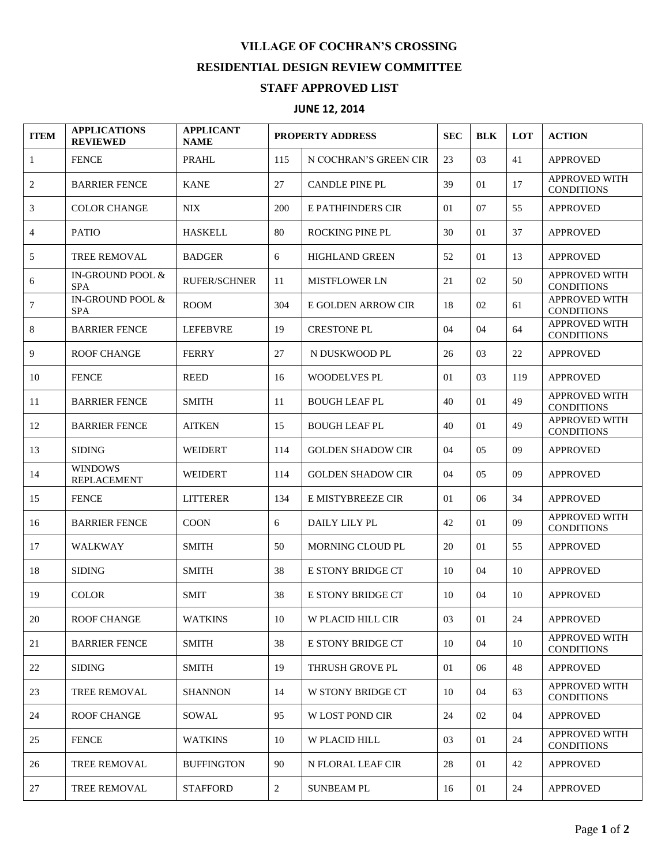## **VILLAGE OF COCHRAN'S CROSSING RESIDENTIAL DESIGN REVIEW COMMITTEE**

## **STAFF APPROVED LIST**

## **JUNE 12, 2014**

| <b>ITEM</b> | <b>APPLICATIONS</b><br><b>REVIEWED</b> | <b>APPLICANT</b><br><b>NAME</b> | <b>PROPERTY ADDRESS</b> |                          | <b>SEC</b> | <b>BLK</b>     | <b>LOT</b> | <b>ACTION</b>                             |
|-------------|----------------------------------------|---------------------------------|-------------------------|--------------------------|------------|----------------|------------|-------------------------------------------|
| 1           | <b>FENCE</b>                           | <b>PRAHL</b>                    | 115                     | N COCHRAN'S GREEN CIR    | 23         | 03             | 41         | <b>APPROVED</b>                           |
| 2           | <b>BARRIER FENCE</b>                   | <b>KANE</b>                     | 27                      | <b>CANDLE PINE PL</b>    | 39         | 01             | 17         | <b>APPROVED WITH</b><br><b>CONDITIONS</b> |
| 3           | <b>COLOR CHANGE</b>                    | <b>NIX</b>                      | 200                     | <b>E PATHFINDERS CIR</b> | 01         | 07             | 55         | <b>APPROVED</b>                           |
| 4           | <b>PATIO</b>                           | <b>HASKELL</b>                  | 80                      | <b>ROCKING PINE PL</b>   | 30         | 01             | 37         | <b>APPROVED</b>                           |
| 5           | <b>TREE REMOVAL</b>                    | <b>BADGER</b>                   | 6                       | <b>HIGHLAND GREEN</b>    | 52         | 01             | 13         | <b>APPROVED</b>                           |
| 6           | IN-GROUND POOL &<br><b>SPA</b>         | <b>RUFER/SCHNER</b>             | 11                      | <b>MISTFLOWER LN</b>     | 21         | 02             | 50         | <b>APPROVED WITH</b><br><b>CONDITIONS</b> |
| 7           | IN-GROUND POOL &<br><b>SPA</b>         | <b>ROOM</b>                     | 304                     | E GOLDEN ARROW CIR       | 18         | 02             | 61         | <b>APPROVED WITH</b><br><b>CONDITIONS</b> |
| 8           | <b>BARRIER FENCE</b>                   | <b>LEFEBVRE</b>                 | 19                      | <b>CRESTONE PL</b>       | 04         | 04             | 64         | <b>APPROVED WITH</b><br><b>CONDITIONS</b> |
| 9           | <b>ROOF CHANGE</b>                     | <b>FERRY</b>                    | 27                      | N DUSKWOOD PL            | 26         | 03             | 22         | <b>APPROVED</b>                           |
| 10          | <b>FENCE</b>                           | <b>REED</b>                     | 16                      | WOODELVES PL             | 01         | 03             | 119        | <b>APPROVED</b>                           |
| 11          | <b>BARRIER FENCE</b>                   | <b>SMITH</b>                    | 11                      | <b>BOUGH LEAF PL</b>     | 40         | 01             | 49         | <b>APPROVED WITH</b><br><b>CONDITIONS</b> |
| 12          | <b>BARRIER FENCE</b>                   | <b>AITKEN</b>                   | 15                      | <b>BOUGH LEAF PL</b>     | 40         | 01             | 49         | APPROVED WITH<br><b>CONDITIONS</b>        |
| 13          | <b>SIDING</b>                          | <b>WEIDERT</b>                  | 114                     | <b>GOLDEN SHADOW CIR</b> | 04         | 0 <sub>5</sub> | 09         | <b>APPROVED</b>                           |
| 14          | <b>WINDOWS</b><br><b>REPLACEMENT</b>   | <b>WEIDERT</b>                  | 114                     | <b>GOLDEN SHADOW CIR</b> | 04         | 05             | 09         | <b>APPROVED</b>                           |
| 15          | <b>FENCE</b>                           | <b>LITTERER</b>                 | 134                     | E MISTYBREEZE CIR        | 01         | 06             | 34         | <b>APPROVED</b>                           |
| 16          | <b>BARRIER FENCE</b>                   | <b>COON</b>                     | 6                       | DAILY LILY PL            | 42         | 01             | 09         | <b>APPROVED WITH</b><br><b>CONDITIONS</b> |
| 17          | <b>WALKWAY</b>                         | <b>SMITH</b>                    | 50                      | MORNING CLOUD PL         | 20         | 01             | 55         | <b>APPROVED</b>                           |
| 18          | <b>SIDING</b>                          | <b>SMITH</b>                    | 38                      | E STONY BRIDGE CT        | 10         | 04             | 10         | <b>APPROVED</b>                           |
| 19          | <b>COLOR</b>                           | <b>SMIT</b>                     | 38                      | E STONY BRIDGE CT        | 10         | 04             | 10         | <b>APPROVED</b>                           |
| 20          | <b>ROOF CHANGE</b>                     | <b>WATKINS</b>                  | 10                      | W PLACID HILL CIR        | 03         | 01             | 24         | <b>APPROVED</b>                           |
| 21          | <b>BARRIER FENCE</b>                   | <b>SMITH</b>                    | 38                      | E STONY BRIDGE CT        | 10         | 04             | 10         | APPROVED WITH<br><b>CONDITIONS</b>        |
| 22          | <b>SIDING</b>                          | <b>SMITH</b>                    | 19                      | THRUSH GROVE PL          | 01         | 06             | 48         | <b>APPROVED</b>                           |
| 23          | <b>TREE REMOVAL</b>                    | <b>SHANNON</b>                  | 14                      | W STONY BRIDGE CT        | 10         | 04             | 63         | <b>APPROVED WITH</b><br><b>CONDITIONS</b> |
| 24          | <b>ROOF CHANGE</b>                     | SOWAL                           | 95                      | <b>W LOST POND CIR</b>   | 24         | 02             | 04         | <b>APPROVED</b>                           |
| 25          | <b>FENCE</b>                           | WATKINS                         | 10                      | <b>W PLACID HILL</b>     | 03         | 01             | 24         | APPROVED WITH<br><b>CONDITIONS</b>        |
| 26          | TREE REMOVAL                           | <b>BUFFINGTON</b>               | 90                      | N FLORAL LEAF CIR        | 28         | 01             | 42         | <b>APPROVED</b>                           |
| 27          | <b>TREE REMOVAL</b>                    | <b>STAFFORD</b>                 | 2                       | <b>SUNBEAM PL</b>        | 16         | 01             | 24         | <b>APPROVED</b>                           |